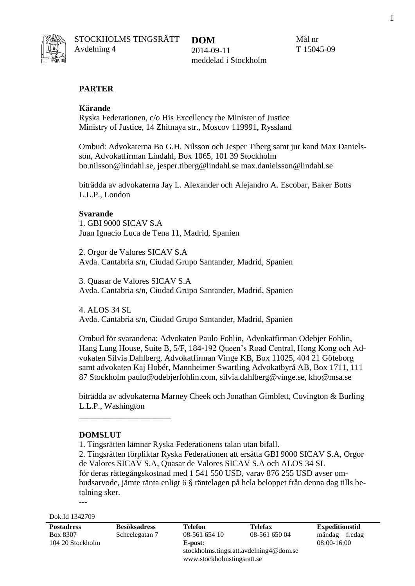

STOCKHOLMS TINGSRÄTT Avdelning 4

**DOM** 2014-09-11 meddelad i Stockholm Mål nr T 15045-09

#### **PARTER**

#### **Kärande**

Ryska Federationen, c/o His Excellency the Minister of Justice Ministry of Justice, 14 Zhitnaya str., Moscov 119991, Ryssland

Ombud: Advokaterna Bo G.H. Nilsson och Jesper Tiberg samt jur kand Max Danielsson, Advokatfirman Lindahl, Box 1065, 101 39 Stockholm bo.nilsson@lindahl.se, jesper.tiberg@lindahl.se [max.danielsson@lindahl.se](mailto:max.danielsson@lindahl.se)

biträdda av advokaterna Jay L. Alexander och Alejandro A. Escobar, Baker Botts L.L.P., London

#### **Svarande**

1. GBI 9000 SICAV S.A Juan Ignacio Luca de Tena 11, Madrid, Spanien

2. Orgor de Valores SICAV S.A Avda. Cantabria s/n, Ciudad Grupo Santander, Madrid, Spanien

3. Quasar de Valores SICAV S.A Avda. Cantabria s/n, Ciudad Grupo Santander, Madrid, Spanien

4. ALOS 34 SL Avda. Cantabria s/n, Ciudad Grupo Santander, Madrid, Spanien

Ombud för svarandena: Advokaten Paulo Fohlin, Advokatfirman Odebjer Fohlin, Hang Lung House, Suite B, 5/F, 184-192 Queen's Road Central, Hong Kong och Advokaten Silvia Dahlberg, Advokatfirman Vinge KB, Box 11025, 404 21 Göteborg samt advokaten Kaj Hobér, Mannheimer Swartling Advokatbyrå AB, Box 1711, 111 87 Stockholm paulo@odebjerfohlin.com, silvia.dahlberg@vinge.se, [kho@msa.se](mailto:kho@msa.se)

biträdda av advokaterna Marney Cheek och Jonathan Gimblett, Covington & Burling L.L.P., Washington

#### **DOMSLUT**

\_\_\_\_\_\_\_\_\_\_\_\_\_\_\_\_\_\_\_\_\_\_

1. Tingsrätten lämnar Ryska Federationens talan utan bifall.

2. Tingsrätten förpliktar Ryska Federationen att ersätta GBI 9000 SICAV S.A, Orgor de Valores SICAV S.A, Quasar de Valores SICAV S.A och ALOS 34 SL för deras rättegångskostnad med 1 541 550 USD, varav 876 255 USD avser ombudsarvode, jämte ränta enligt 6 § räntelagen på hela beloppet från denna dag tills betalning sker. ---

Dok.Id 1342709

| <b>Postadress</b> | <b>Besöksadress</b> | <b>Telefon</b>                         | <b>Telefax</b> | <b>Expeditionstid</b> |
|-------------------|---------------------|----------------------------------------|----------------|-----------------------|
| Box 8307          | Scheelegatan 7      | 08-561 654 10                          | 08-561 650 04  | måndag – fredag       |
| 104 20 Stockholm  |                     | E-post:                                |                | $08:00-16:00$         |
|                   |                     | stockholms.tingsratt.avdelning4@dom.se |                |                       |
|                   |                     | www.stockholmstingsratt.se             |                |                       |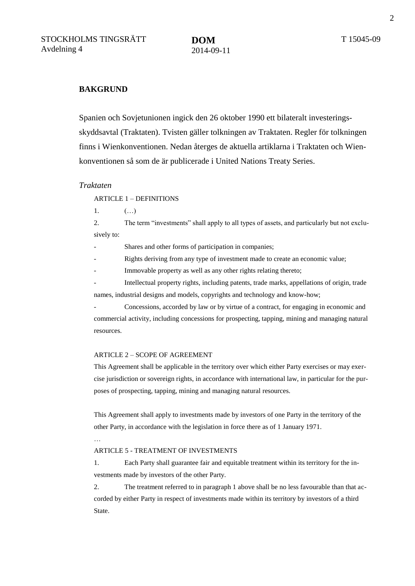#### **BAKGRUND**

Spanien och Sovjetunionen ingick den 26 oktober 1990 ett bilateralt investeringsskyddsavtal (Traktaten). Tvisten gäller tolkningen av Traktaten. Regler för tolkningen finns i Wienkonventionen. Nedan återges de aktuella artiklarna i Traktaten och Wienkonventionen så som de är publicerade i United Nations Treaty Series.

#### *Traktaten*

#### ARTICLE 1 – DEFINITIONS

1.  $( ...)$ 

2. The term "investments" shall apply to all types of assets, and particularly but not exclusively to:

Shares and other forms of participation in companies;

Rights deriving from any type of investment made to create an economic value;

Immovable property as well as any other rights relating thereto;

Intellectual property rights, including patents, trade marks, appellations of origin, trade names, industrial designs and models, copyrights and technology and know-how;

- Concessions, accorded by law or by virtue of a contract, for engaging in economic and commercial activity, including concessions for prospecting, tapping, mining and managing natural resources.

#### ARTICLE 2 – SCOPE OF AGREEMENT

This Agreement shall be applicable in the territory over which either Party exercises or may exercise jurisdiction or sovereign rights, in accordance with international law, in particular for the purposes of prospecting, tapping, mining and managing natural resources.

This Agreement shall apply to investments made by investors of one Party in the territory of the other Party, in accordance with the legislation in force there as of 1 January 1971.

…

#### ARTICLE 5 - TREATMENT OF INVESTMENTS

1. Each Party shall guarantee fair and equitable treatment within its territory for the investments made by investors of the other Party.

2. The treatment referred to in paragraph 1 above shall be no less favourable than that accorded by either Party in respect of investments made within its territory by investors of a third State.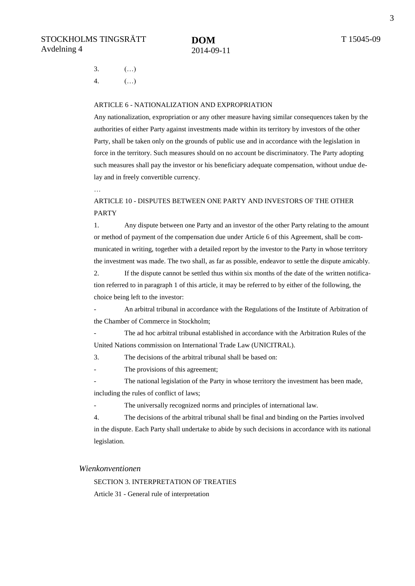3.  $(\ldots)$ 4. (…)

#### ARTICLE 6 - NATIONALIZATION AND EXPROPRIATION

Any nationalization, expropriation or any other measure having similar consequences taken by the authorities of either Party against investments made within its territory by investors of the other Party, shall be taken only on the grounds of public use and in accordance with the legislation in force in the territory. Such measures should on no account be discriminatory. The Party adopting such measures shall pay the investor or his beneficiary adequate compensation, without undue delay and in freely convertible currency.

…

#### ARTICLE 10 - DISPUTES BETWEEN ONE PARTY AND INVESTORS OF THE OTHER PARTY

1. Any dispute between one Party and an investor of the other Party relating to the amount or method of payment of the compensation due under Article 6 of this Agreement, shall be communicated in writing, together with a detailed report by the investor to the Party in whose territory the investment was made. The two shall, as far as possible, endeavor to settle the dispute amicably.

2. If the dispute cannot be settled thus within six months of the date of the written notification referred to in paragraph 1 of this article, it may be referred to by either of the following, the choice being left to the investor:

- An arbitral tribunal in accordance with the Regulations of the Institute of Arbitration of the Chamber of Commerce in Stockholm;

The ad hoc arbitral tribunal established in accordance with the Arbitration Rules of the United Nations commission on International Trade Law (UNICITRAL).

3. The decisions of the arbitral tribunal shall be based on:

The provisions of this agreement;

The national legislation of the Party in whose territory the investment has been made, including the rules of conflict of laws;

- The universally recognized norms and principles of international law.

4. The decisions of the arbitral tribunal shall be final and binding on the Parties involved in the dispute. Each Party shall undertake to abide by such decisions in accordance with its national legislation.

#### *Wienkonventionen*

SECTION 3. INTERPRETATION OF TREATIES Article 31 - General rule of interpretation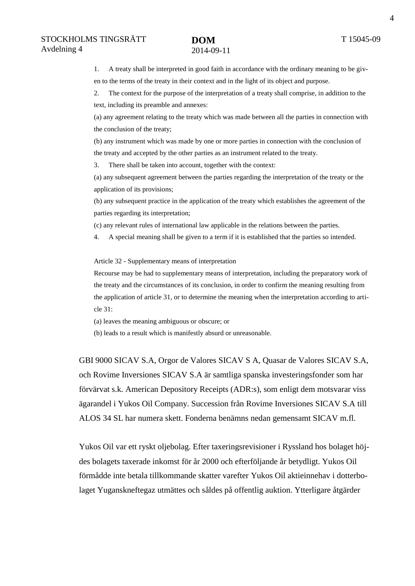1. A treaty shall be interpreted in good faith in accordance with the ordinary meaning to be given to the terms of the treaty in their context and in the light of its object and purpose.

2. The context for the purpose of the interpretation of a treaty shall comprise, in addition to the text, including its preamble and annexes:

(a) any agreement relating to the treaty which was made between all the parties in connection with the conclusion of the treaty;

(b) any instrument which was made by one or more parties in connection with the conclusion of the treaty and accepted by the other parties as an instrument related to the treaty.

3. There shall be taken into account, together with the context:

(a) any subsequent agreement between the parties regarding the interpretation of the treaty or the application of its provisions;

(b) any subsequent practice in the application of the treaty which establishes the agreement of the parties regarding its interpretation;

(c) any relevant rules of international law applicable in the relations between the parties.

4. A special meaning shall be given to a term if it is established that the parties so intended.

Article 32 - Supplementary means of interpretation

Recourse may be had to supplementary means of interpretation, including the preparatory work of the treaty and the circumstances of its conclusion, in order to confirm the meaning resulting from the application of article 31, or to determine the meaning when the interpretation according to article 31:

(a) leaves the meaning ambiguous or obscure; or

(b) leads to a result which is manifestly absurd or unreasonable.

GBI 9000 SICAV S.A, Orgor de Valores SICAV S A, Quasar de Valores SICAV S.A, och Rovime Inversiones SICAV S.A är samtliga spanska investeringsfonder som har förvärvat s.k. American Depository Receipts (ADR:s), som enligt dem motsvarar viss ägarandel i Yukos Oil Company. Succession från Rovime Inversiones SICAV S.A till ALOS 34 SL har numera skett. Fonderna benämns nedan gemensamt SICAV m.fl.

Yukos Oil var ett ryskt oljebolag. Efter taxeringsrevisioner i Ryssland hos bolaget höjdes bolagets taxerade inkomst för år 2000 och efterföljande år betydligt. Yukos Oil förmådde inte betala tillkommande skatter varefter Yukos Oil aktieinnehav i dotterbolaget Yuganskneftegaz utmättes och såldes på offentlig auktion. Ytterligare åtgärder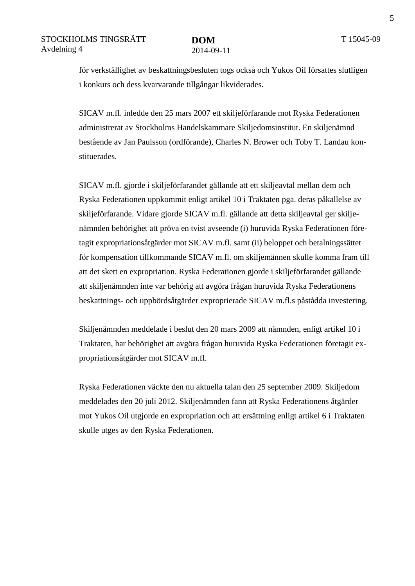för verkställighet av beskattningsbesluten togs också och Yukos Oil försattes slutligen i konkurs och dess kvarvarande tillgångar likviderades.

SICAV m.fl. inledde den 25 mars 2007 ett skiljeförfarande mot Ryska Federationen administrerat av Stockholms Handelskammare Skiljedomsinstitut. En skiljenämnd bestående av Jan Paulsson (ordförande), Charles N. Brower och Toby T. Landau konstituerades.

SICAV m.fl. gjorde i skiljeförfarandet gällande att ett skiljeavtal mellan dem och Ryska Federationen uppkommit enligt artikel 10 i Traktaten pga. deras påkallelse av skiljeförfarande. Vidare gjorde SICAV m.fl. gällande att detta skiljeavtal ger skiljenämnden behörighet att pröva en tvist avseende (i) huruvida Ryska Federationen företagit expropriationsåtgärder mot SICAV m.fl. samt (ii) beloppet och betalningssättet för kompensation tillkommande SICAV m.fl. om skiljemännen skulle komma fram till att det skett en expropriation. Ryska Federationen gjorde i skiljeförfarandet gällande att skiljenämnden inte var behörig att avgöra frågan huruvida Ryska Federationens beskattnings- och uppbördsåtgärder exproprierade SICAV m.fl.s påstådda investering.

Skiljenämnden meddelade i beslut den 20 mars 2009 att nämnden, enligt artikel 10 i Traktaten, har behörighet att avgöra frågan huruvida Ryska Federationen företagit expropriationsåtgärder mot SICAV m.fl.

Ryska Federationen väckte den nu aktuella talan den 25 september 2009. Skiljedom meddelades den 20 juli 2012. Skiljenämnden fann att Ryska Federationens åtgärder mot Yukos Oil utgjorde en expropriation och att ersättning enligt artikel 6 i Traktaten skulle utges av den Ryska Federationen.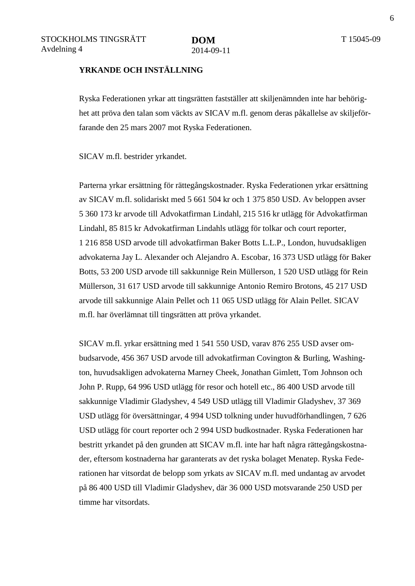6

#### **YRKANDE OCH INSTÄLLNING**

Ryska Federationen yrkar att tingsrätten fastställer att skiljenämnden inte har behörighet att pröva den talan som väckts av SICAV m.fl. genom deras påkallelse av skiljeförfarande den 25 mars 2007 mot Ryska Federationen.

SICAV m.fl. bestrider yrkandet.

Parterna yrkar ersättning för rättegångskostnader. Ryska Federationen yrkar ersättning av SICAV m.fl. solidariskt med 5 661 504 kr och 1 375 850 USD. Av beloppen avser 5 360 173 kr arvode till Advokatfirman Lindahl, 215 516 kr utlägg för Advokatfirman Lindahl, 85 815 kr Advokatfirman Lindahls utlägg för tolkar och court reporter, 1 216 858 USD arvode till advokatfirman Baker Botts L.L.P., London, huvudsakligen advokaterna Jay L. Alexander och Alejandro A. Escobar, 16 373 USD utlägg för Baker Botts, 53 200 USD arvode till sakkunnige Rein Müllerson, 1 520 USD utlägg för Rein Müllerson, 31 617 USD arvode till sakkunnige Antonio Remiro Brotons, 45 217 USD arvode till sakkunnige Alain Pellet och 11 065 USD utlägg för Alain Pellet. SICAV m.fl. har överlämnat till tingsrätten att pröva yrkandet.

SICAV m.fl. yrkar ersättning med 1 541 550 USD, varav 876 255 USD avser ombudsarvode, 456 367 USD arvode till advokatfirman Covington & Burling, Washington, huvudsakligen advokaterna Marney Cheek, Jonathan Gimlett, Tom Johnson och John P. Rupp, 64 996 USD utlägg för resor och hotell etc., 86 400 USD arvode till sakkunnige Vladimir Gladyshev, 4 549 USD utlägg till Vladimir Gladyshev, 37 369 USD utlägg för översättningar, 4 994 USD tolkning under huvudförhandlingen, 7 626 USD utlägg för court reporter och 2 994 USD budkostnader. Ryska Federationen har bestritt yrkandet på den grunden att SICAV m.fl. inte har haft några rättegångskostnader, eftersom kostnaderna har garanterats av det ryska bolaget Menatep. Ryska Federationen har vitsordat de belopp som yrkats av SICAV m.fl. med undantag av arvodet på 86 400 USD till Vladimir Gladyshev, där 36 000 USD motsvarande 250 USD per timme har vitsordats.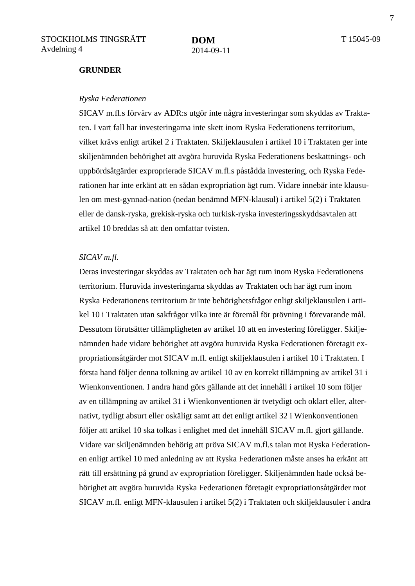#### **GRUNDER**

#### *Ryska Federationen*

SICAV m.fl.s förvärv av ADR:s utgör inte några investeringar som skyddas av Traktaten. I vart fall har investeringarna inte skett inom Ryska Federationens territorium, vilket krävs enligt artikel 2 i Traktaten. Skiljeklausulen i artikel 10 i Traktaten ger inte skiljenämnden behörighet att avgöra huruvida Ryska Federationens beskattnings- och uppbördsåtgärder exproprierade SICAV m.fl.s påstådda investering, och Ryska Federationen har inte erkänt att en sådan expropriation ägt rum. Vidare innebär inte klausulen om mest-gynnad-nation (nedan benämnd MFN-klausul) i artikel 5(2) i Traktaten eller de dansk-ryska, grekisk-ryska och turkisk-ryska investeringsskyddsavtalen att artikel 10 breddas så att den omfattar tvisten.

#### *SICAV m.fl.*

Deras investeringar skyddas av Traktaten och har ägt rum inom Ryska Federationens territorium. Huruvida investeringarna skyddas av Traktaten och har ägt rum inom Ryska Federationens territorium är inte behörighetsfrågor enligt skiljeklausulen i artikel 10 i Traktaten utan sakfrågor vilka inte är föremål för prövning i förevarande mål. Dessutom förutsätter tillämpligheten av artikel 10 att en investering föreligger. Skiljenämnden hade vidare behörighet att avgöra huruvida Ryska Federationen företagit expropriationsåtgärder mot SICAV m.fl. enligt skiljeklausulen i artikel 10 i Traktaten. I första hand följer denna tolkning av artikel 10 av en korrekt tillämpning av artikel 31 i Wienkonventionen. I andra hand görs gällande att det innehåll i artikel 10 som följer av en tillämpning av artikel 31 i Wienkonventionen är tvetydigt och oklart eller, alternativt, tydligt absurt eller oskäligt samt att det enligt artikel 32 i Wienkonventionen följer att artikel 10 ska tolkas i enlighet med det innehåll SICAV m.fl. gjort gällande. Vidare var skiljenämnden behörig att pröva SICAV m.fl.s talan mot Ryska Federationen enligt artikel 10 med anledning av att Ryska Federationen måste anses ha erkänt att rätt till ersättning på grund av expropriation föreligger. Skiljenämnden hade också behörighet att avgöra huruvida Ryska Federationen företagit expropriationsåtgärder mot SICAV m.fl. enligt MFN-klausulen i artikel 5(2) i Traktaten och skiljeklausuler i andra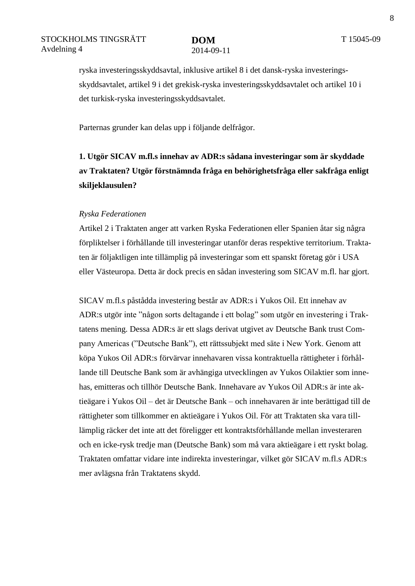ryska investeringsskyddsavtal, inklusive artikel 8 i det dansk-ryska investeringsskyddsavtalet, artikel 9 i det grekisk-ryska investeringsskyddsavtalet och artikel 10 i det turkisk-ryska investeringsskyddsavtalet.

Parternas grunder kan delas upp i följande delfrågor.

**1. Utgör SICAV m.fl.s innehav av ADR:s sådana investeringar som är skyddade av Traktaten? Utgör förstnämnda fråga en behörighetsfråga eller sakfråga enligt skiljeklausulen?**

#### *Ryska Federationen*

Artikel 2 i Traktaten anger att varken Ryska Federationen eller Spanien åtar sig några förpliktelser i förhållande till investeringar utanför deras respektive territorium. Traktaten är följaktligen inte tillämplig på investeringar som ett spanskt företag gör i USA eller Västeuropa. Detta är dock precis en sådan investering som SICAV m.fl. har gjort.

SICAV m.fl.s påstådda investering består av ADR:s i Yukos Oil. Ett innehav av ADR:s utgör inte "någon sorts deltagande i ett bolag" som utgör en investering i Traktatens mening. Dessa ADR:s är ett slags derivat utgivet av Deutsche Bank trust Company Americas ("Deutsche Bank"), ett rättssubjekt med säte i New York. Genom att köpa Yukos Oil ADR:s förvärvar innehavaren vissa kontraktuella rättigheter i förhållande till Deutsche Bank som är avhängiga utvecklingen av Yukos Oilaktier som innehas, emitteras och tillhör Deutsche Bank. Innehavare av Yukos Oil ADR:s är inte aktieägare i Yukos Oil – det är Deutsche Bank – och innehavaren är inte berättigad till de rättigheter som tillkommer en aktieägare i Yukos Oil. För att Traktaten ska vara tilllämplig räcker det inte att det föreligger ett kontraktsförhållande mellan investeraren och en icke-rysk tredje man (Deutsche Bank) som må vara aktieägare i ett ryskt bolag. Traktaten omfattar vidare inte indirekta investeringar, vilket gör SICAV m.fl.s ADR:s mer avlägsna från Traktatens skydd.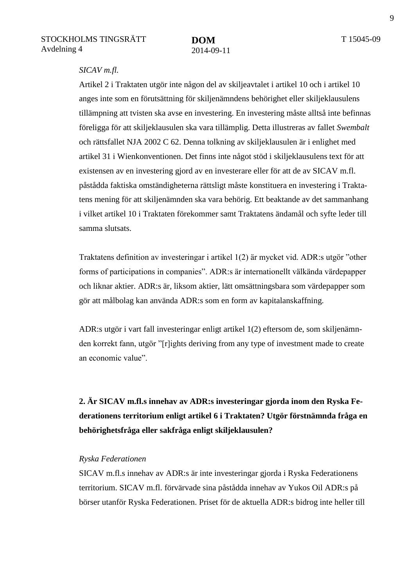#### *SICAV m.fl.*

Artikel 2 i Traktaten utgör inte någon del av skiljeavtalet i artikel 10 och i artikel 10 anges inte som en förutsättning för skiljenämndens behörighet eller skiljeklausulens tillämpning att tvisten ska avse en investering. En investering måste alltså inte befinnas föreligga för att skiljeklausulen ska vara tillämplig. Detta illustreras av fallet *Swembalt*  och rättsfallet NJA 2002 C 62. Denna tolkning av skiljeklausulen är i enlighet med artikel 31 i Wienkonventionen. Det finns inte något stöd i skiljeklausulens text för att existensen av en investering gjord av en investerare eller för att de av SICAV m.fl. påstådda faktiska omständigheterna rättsligt måste konstituera en investering i Traktatens mening för att skiljenämnden ska vara behörig. Ett beaktande av det sammanhang i vilket artikel 10 i Traktaten förekommer samt Traktatens ändamål och syfte leder till samma slutsats.

Traktatens definition av investeringar i artikel 1(2) är mycket vid. ADR:s utgör "other forms of participations in companies". ADR:s är internationellt välkända värdepapper och liknar aktier. ADR:s är, liksom aktier, lätt omsättningsbara som värdepapper som gör att målbolag kan använda ADR:s som en form av kapitalanskaffning.

ADR:s utgör i vart fall investeringar enligt artikel 1(2) eftersom de, som skiljenämnden korrekt fann, utgör "[r]ights deriving from any type of investment made to create an economic value".

### **2. Är SICAV m.fl.s innehav av ADR:s investeringar gjorda inom den Ryska Federationens territorium enligt artikel 6 i Traktaten? Utgör förstnämnda fråga en behörighetsfråga eller sakfråga enligt skiljeklausulen?**

#### *Ryska Federationen*

SICAV m.fl.s innehav av ADR:s är inte investeringar gjorda i Ryska Federationens territorium. SICAV m.fl. förvärvade sina påstådda innehav av Yukos Oil ADR:s på börser utanför Ryska Federationen. Priset för de aktuella ADR:s bidrog inte heller till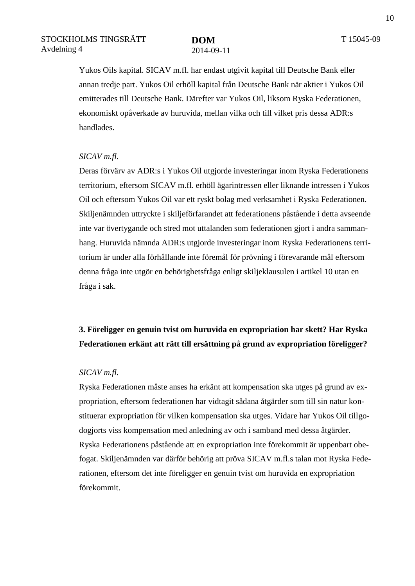Yukos Oils kapital. SICAV m.fl. har endast utgivit kapital till Deutsche Bank eller annan tredje part. Yukos Oil erhöll kapital från Deutsche Bank när aktier i Yukos Oil emitterades till Deutsche Bank. Därefter var Yukos Oil, liksom Ryska Federationen, ekonomiskt opåverkade av huruvida, mellan vilka och till vilket pris dessa ADR:s handlades.

#### *SICAV m.fl.*

Deras förvärv av ADR:s i Yukos Oil utgjorde investeringar inom Ryska Federationens territorium, eftersom SICAV m.fl. erhöll ägarintressen eller liknande intressen i Yukos Oil och eftersom Yukos Oil var ett ryskt bolag med verksamhet i Ryska Federationen. Skiljenämnden uttryckte i skiljeförfarandet att federationens påstående i detta avseende inte var övertygande och stred mot uttalanden som federationen gjort i andra sammanhang. Huruvida nämnda ADR:s utgjorde investeringar inom Ryska Federationens territorium är under alla förhållande inte föremål för prövning i förevarande mål eftersom denna fråga inte utgör en behörighetsfråga enligt skiljeklausulen i artikel 10 utan en fråga i sak.

### **3. Föreligger en genuin tvist om huruvida en expropriation har skett? Har Ryska Federationen erkänt att rätt till ersättning på grund av expropriation föreligger?**

#### *SICAV m.fl.*

Ryska Federationen måste anses ha erkänt att kompensation ska utges på grund av expropriation, eftersom federationen har vidtagit sådana åtgärder som till sin natur konstituerar expropriation för vilken kompensation ska utges. Vidare har Yukos Oil tillgodogjorts viss kompensation med anledning av och i samband med dessa åtgärder. Ryska Federationens påstående att en expropriation inte förekommit är uppenbart obefogat. Skiljenämnden var därför behörig att pröva SICAV m.fl.s talan mot Ryska Federationen, eftersom det inte föreligger en genuin tvist om huruvida en expropriation förekommit.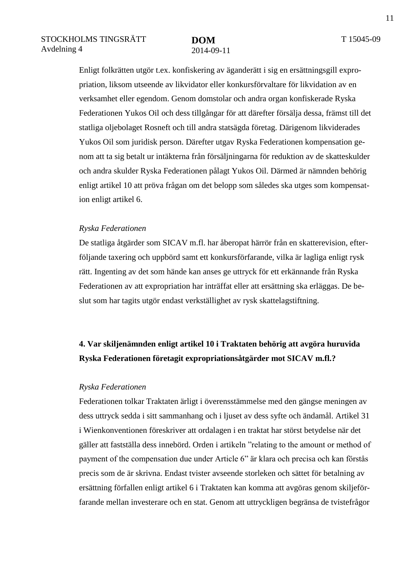Enligt folkrätten utgör t.ex. konfiskering av äganderätt i sig en ersättningsgill expropriation, liksom utseende av likvidator eller konkursförvaltare för likvidation av en verksamhet eller egendom. Genom domstolar och andra organ konfiskerade Ryska Federationen Yukos Oil och dess tillgångar för att därefter försälja dessa, främst till det statliga oljebolaget Rosneft och till andra statsägda företag. Därigenom likviderades Yukos Oil som juridisk person. Därefter utgav Ryska Federationen kompensation genom att ta sig betalt ur intäkterna från försäljningarna för reduktion av de skatteskulder och andra skulder Ryska Federationen pålagt Yukos Oil. Därmed är nämnden behörig enligt artikel 10 att pröva frågan om det belopp som således ska utges som kompensation enligt artikel 6.

#### *Ryska Federationen*

De statliga åtgärder som SICAV m.fl. har åberopat härrör från en skatterevision, efterföljande taxering och uppbörd samt ett konkursförfarande, vilka är lagliga enligt rysk rätt. Ingenting av det som hände kan anses ge uttryck för ett erkännande från Ryska Federationen av att expropriation har inträffat eller att ersättning ska erläggas. De beslut som har tagits utgör endast verkställighet av rysk skattelagstiftning.

### **4. Var skiljenämnden enligt artikel 10 i Traktaten behörig att avgöra huruvida Ryska Federationen företagit expropriationsåtgärder mot SICAV m.fl.?**

#### *Ryska Federationen*

Federationen tolkar Traktaten ärligt i överensstämmelse med den gängse meningen av dess uttryck sedda i sitt sammanhang och i ljuset av dess syfte och ändamål. Artikel 31 i Wienkonventionen föreskriver att ordalagen i en traktat har störst betydelse när det gäller att fastställa dess innebörd. Orden i artikeln "relating to the amount or method of payment of the compensation due under Article 6" är klara och precisa och kan förstås precis som de är skrivna. Endast tvister avseende storleken och sättet för betalning av ersättning förfallen enligt artikel 6 i Traktaten kan komma att avgöras genom skiljeförfarande mellan investerare och en stat. Genom att uttryckligen begränsa de tvistefrågor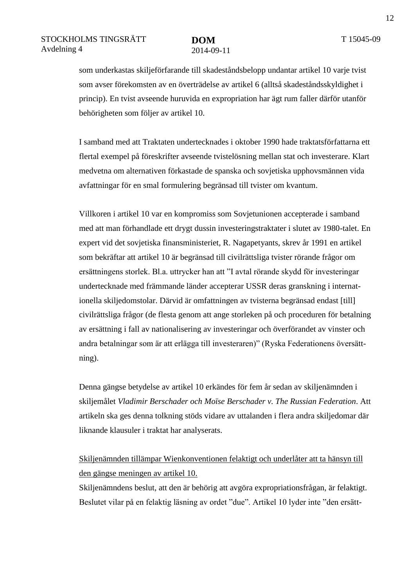som underkastas skiljeförfarande till skadeståndsbelopp undantar artikel 10 varje tvist som avser förekomsten av en överträdelse av artikel 6 (alltså skadeståndsskyldighet i princip). En tvist avseende huruvida en expropriation har ägt rum faller därför utanför behörigheten som följer av artikel 10.

I samband med att Traktaten undertecknades i oktober 1990 hade traktatsförfattarna ett flertal exempel på föreskrifter avseende tvistelösning mellan stat och investerare. Klart medvetna om alternativen förkastade de spanska och sovjetiska upphovsmännen vida avfattningar för en smal formulering begränsad till tvister om kvantum.

Villkoren i artikel 10 var en kompromiss som Sovjetunionen accepterade i samband med att man förhandlade ett drygt dussin investeringstraktater i slutet av 1980-talet. En expert vid det sovjetiska finansministeriet, R. Nagapetyants, skrev år 1991 en artikel som bekräftar att artikel 10 är begränsad till civilrättsliga tvister rörande frågor om ersättningens storlek. Bl.a. uttrycker han att "I avtal rörande skydd för investeringar undertecknade med främmande länder accepterar USSR deras granskning i internationella skiljedomstolar. Därvid är omfattningen av tvisterna begränsad endast [till] civilrättsliga frågor (de flesta genom att ange storleken på och proceduren för betalning av ersättning i fall av nationalisering av investeringar och överförandet av vinster och andra betalningar som är att erlägga till investeraren)" (Ryska Federationens översättning).

Denna gängse betydelse av artikel 10 erkändes för fem år sedan av skiljenämnden i skiljemålet *Vladimir Berschader och Moïse Berschader v. The Russian Federation*. Att artikeln ska ges denna tolkning stöds vidare av uttalanden i flera andra skiljedomar där liknande klausuler i traktat har analyserats.

### Skiljenämnden tillämpar Wienkonventionen felaktigt och underlåter att ta hänsyn till den gängse meningen av artikel 10.

Skiljenämndens beslut, att den är behörig att avgöra expropriationsfrågan, är felaktigt. Beslutet vilar på en felaktig läsning av ordet "due". Artikel 10 lyder inte "den ersätt-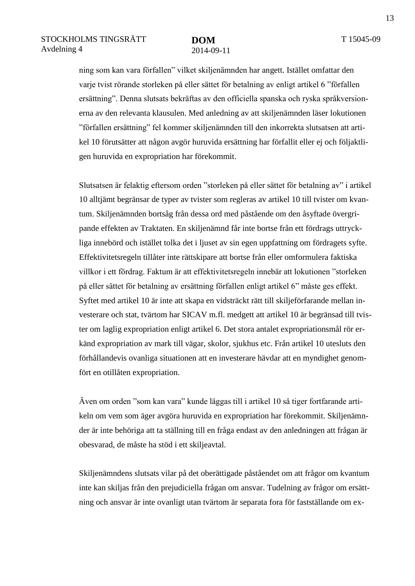ning som kan vara förfallen" vilket skiljenämnden har angett. Istället omfattar den varje tvist rörande storleken på eller sättet för betalning av enligt artikel 6 "förfallen ersättning". Denna slutsats bekräftas av den officiella spanska och ryska språkversionerna av den relevanta klausulen. Med anledning av att skiljenämnden läser lokutionen "förfallen ersättning" fel kommer skiljenämnden till den inkorrekta slutsatsen att artikel 10 förutsätter att någon avgör huruvida ersättning har förfallit eller ej och följaktligen huruvida en expropriation har förekommit.

Slutsatsen är felaktig eftersom orden "storleken på eller sättet för betalning av" i artikel 10 alltjämt begränsar de typer av tvister som regleras av artikel 10 till tvister om kvantum. Skiljenämnden bortsåg från dessa ord med påstående om den åsyftade övergripande effekten av Traktaten. En skiljenämnd får inte bortse från ett fördrags uttryckliga innebörd och istället tolka det i ljuset av sin egen uppfattning om fördragets syfte. Effektivitetsregeln tillåter inte rättskipare att bortse från eller omformulera faktiska villkor i ett fördrag. Faktum är att effektivitetsregeln innebär att lokutionen "storleken på eller sättet för betalning av ersättning förfallen enligt artikel 6" måste ges effekt. Syftet med artikel 10 är inte att skapa en vidsträckt rätt till skiljeförfarande mellan investerare och stat, tvärtom har SICAV m.fl. medgett att artikel 10 är begränsad till tvister om laglig expropriation enligt artikel 6. Det stora antalet expropriationsmål rör erkänd expropriation av mark till vägar, skolor, sjukhus etc. Från artikel 10 utesluts den förhållandevis ovanliga situationen att en investerare hävdar att en myndighet genomfört en otillåten expropriation.

Även om orden "som kan vara" kunde läggas till i artikel 10 så tiger fortfarande artikeln om vem som äger avgöra huruvida en expropriation har förekommit. Skiljenämnder är inte behöriga att ta ställning till en fråga endast av den anledningen att frågan är obesvarad, de måste ha stöd i ett skiljeavtal.

Skiljenämndens slutsats vilar på det oberättigade påståendet om att frågor om kvantum inte kan skiljas från den prejudiciella frågan om ansvar. Tudelning av frågor om ersättning och ansvar är inte ovanligt utan tvärtom är separata fora för fastställande om ex-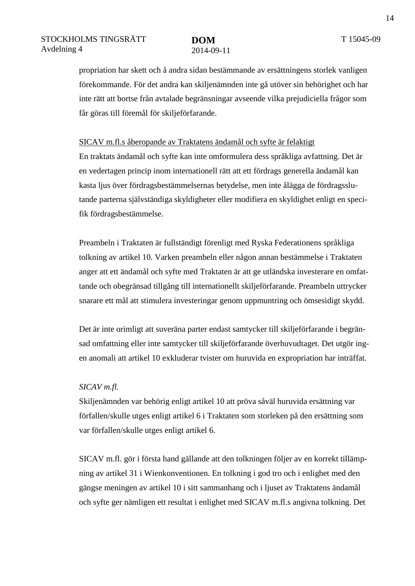propriation har skett och å andra sidan bestämmande av ersättningens storlek vanligen förekommande. För det andra kan skiljenämnden inte gå utöver sin behörighet och har inte rätt att bortse från avtalade begränsningar avseende vilka prejudiciella frågor som får göras till föremål för skiljeförfarande.

#### SICAV m.fl.s åberopande av Traktatens ändamål och syfte är felaktigt

En traktats ändamål och syfte kan inte omformulera dess språkliga avfattning. Det är en vedertagen princip inom internationell rätt att ett fördrags generella ändamål kan kasta ljus över fördragsbestämmelsernas betydelse, men inte ålägga de fördragsslutande parterna självständiga skyldigheter eller modifiera en skyldighet enligt en specifik fördragsbestämmelse.

Preambeln i Traktaten är fullständigt förenligt med Ryska Federationens språkliga tolkning av artikel 10. Varken preambeln eller någon annan bestämmelse i Traktaten anger att ett ändamål och syfte med Traktaten är att ge utländska investerare en omfattande och obegränsad tillgång till internationellt skiljeförfarande. Preambeln uttrycker snarare ett mål att stimulera investeringar genom uppmuntring och ömsesidigt skydd.

Det är inte orimligt att suveräna parter endast samtycker till skiljeförfarande i begränsad omfattning eller inte samtycker till skiljeförfarande överhuvudtaget. Det utgör ingen anomali att artikel 10 exkluderar tvister om huruvida en expropriation har inträffat.

#### *SICAV m.fl.*

Skiljenämnden var behörig enligt artikel 10 att pröva såväl huruvida ersättning var förfallen/skulle utges enligt artikel 6 i Traktaten som storleken på den ersättning som var förfallen/skulle utges enligt artikel 6.

SICAV m.fl. gör i första hand gällande att den tolkningen följer av en korrekt tillämpning av artikel 31 i Wienkonventionen. En tolkning i god tro och i enlighet med den gängse meningen av artikel 10 i sitt sammanhang och i ljuset av Traktatens ändamål och syfte ger nämligen ett resultat i enlighet med SICAV m.fl.s angivna tolkning. Det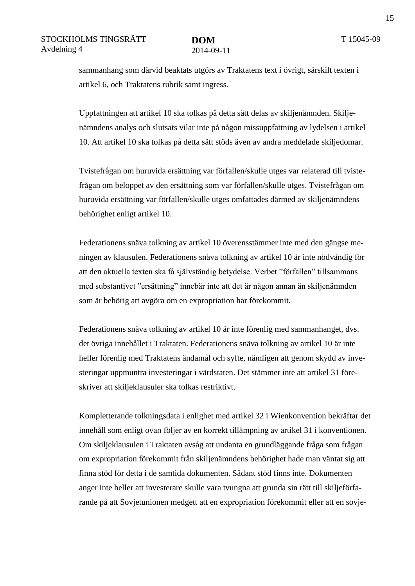sammanhang som därvid beaktats utgörs av Traktatens text i övrigt, särskilt texten i artikel 6, och Traktatens rubrik samt ingress.

Uppfattningen att artikel 10 ska tolkas på detta sätt delas av skiljenämnden. Skiljenämndens analys och slutsats vilar inte på någon missuppfattning av lydelsen i artikel 10. Att artikel 10 ska tolkas på detta sätt stöds även av andra meddelade skiljedomar.

Tvistefrågan om huruvida ersättning var förfallen/skulle utges var relaterad till tvistefrågan om beloppet av den ersättning som var förfallen/skulle utges. Tvistefrågan om huruvida ersättning var förfallen/skulle utges omfattades därmed av skiljenämndens behörighet enligt artikel 10.

Federationens snäva tolkning av artikel 10 överensstämmer inte med den gängse meningen av klausulen. Federationens snäva tolkning av artikel 10 är inte nödvändig för att den aktuella texten ska få självständig betydelse. Verbet "förfallen" tillsammans med substantivet "ersättning" innebär inte att det är någon annan än skiljenämnden som är behörig att avgöra om en expropriation har förekommit.

Federationens snäva tolkning av artikel 10 är inte förenlig med sammanhanget, dvs. det övriga innehållet i Traktaten. Federationens snäva tolkning av artikel 10 är inte heller förenlig med Traktatens ändamål och syfte, nämligen att genom skydd av investeringar uppmuntra investeringar i värdstaten. Det stämmer inte att artikel 31 föreskriver att skiljeklausuler ska tolkas restriktivt.

Kompletterande tolkningsdata i enlighet med artikel 32 i Wienkonvention bekräftar det innehåll som enligt ovan följer av en korrekt tillämpning av artikel 31 i konventionen. Om skiljeklausulen i Traktaten avsåg att undanta en grundläggande fråga som frågan om expropriation förekommit från skiljenämndens behörighet hade man väntat sig att finna stöd för detta i de samtida dokumenten. Sådant stöd finns inte. Dokumenten anger inte heller att investerare skulle vara tvungna att grunda sin rätt till skiljeförfarande på att Sovjetunionen medgett att en expropriation förekommit eller att en sovje-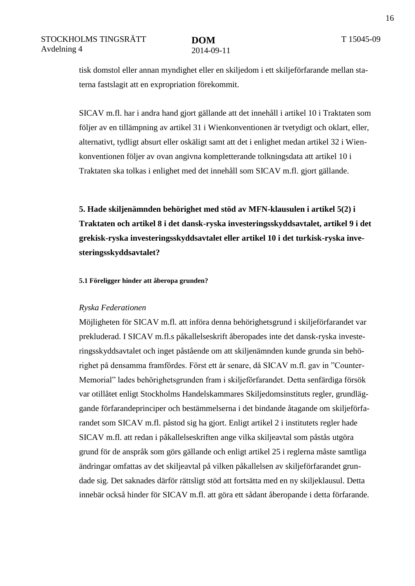tisk domstol eller annan myndighet eller en skiljedom i ett skiljeförfarande mellan staterna fastslagit att en expropriation förekommit.

SICAV m.fl. har i andra hand gjort gällande att det innehåll i artikel 10 i Traktaten som följer av en tillämpning av artikel 31 i Wienkonventionen är tvetydigt och oklart, eller, alternativt, tydligt absurt eller oskäligt samt att det i enlighet medan artikel 32 i Wienkonventionen följer av ovan angivna kompletterande tolkningsdata att artikel 10 i Traktaten ska tolkas i enlighet med det innehåll som SICAV m.fl. gjort gällande.

**5. Hade skiljenämnden behörighet med stöd av MFN-klausulen i artikel 5(2) i Traktaten och artikel 8 i det dansk-ryska investeringsskyddsavtalet, artikel 9 i det grekisk-ryska investeringsskyddsavtalet eller artikel 10 i det turkisk-ryska investeringsskyddsavtalet?** 

**5.1 Föreligger hinder att åberopa grunden?**

#### *Ryska Federationen*

Möjligheten för SICAV m.fl. att införa denna behörighetsgrund i skiljeförfarandet var prekluderad. I SICAV m.fl.s påkallelseskrift åberopades inte det dansk-ryska investeringsskyddsavtalet och inget påstående om att skiljenämnden kunde grunda sin behörighet på densamma framfördes. Först ett år senare, då SICAV m.fl. gav in "Counter-Memorial" lades behörighetsgrunden fram i skiljeförfarandet. Detta senfärdiga försök var otillåtet enligt Stockholms Handelskammares Skiljedomsinstituts regler, grundläggande förfarandeprinciper och bestämmelserna i det bindande åtagande om skiljeförfarandet som SICAV m.fl. påstod sig ha gjort. Enligt artikel 2 i institutets regler hade SICAV m.fl. att redan i påkallelseskriften ange vilka skiljeavtal som påstås utgöra grund för de anspråk som görs gällande och enligt artikel 25 i reglerna måste samtliga ändringar omfattas av det skiljeavtal på vilken påkallelsen av skiljeförfarandet grundade sig. Det saknades därför rättsligt stöd att fortsätta med en ny skiljeklausul. Detta innebär också hinder för SICAV m.fl. att göra ett sådant åberopande i detta förfarande.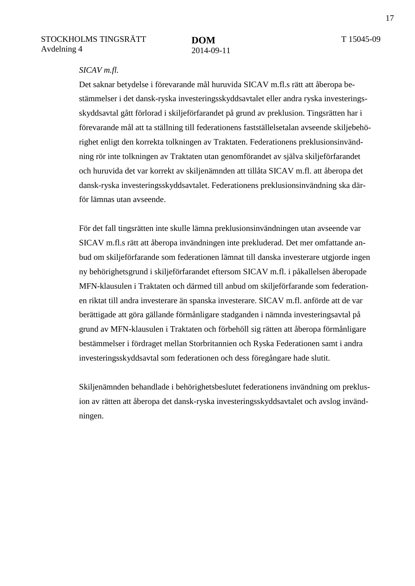#### *SICAV m.fl.*

Det saknar betydelse i förevarande mål huruvida SICAV m.fl.s rätt att åberopa bestämmelser i det dansk-ryska investeringsskyddsavtalet eller andra ryska investeringsskyddsavtal gått förlorad i skiljeförfarandet på grund av preklusion. Tingsrätten har i förevarande mål att ta ställning till federationens fastställelsetalan avseende skiljebehörighet enligt den korrekta tolkningen av Traktaten. Federationens preklusionsinvändning rör inte tolkningen av Traktaten utan genomförandet av själva skiljeförfarandet och huruvida det var korrekt av skiljenämnden att tillåta SICAV m.fl. att åberopa det dansk-ryska investeringsskyddsavtalet. Federationens preklusionsinvändning ska därför lämnas utan avseende.

För det fall tingsrätten inte skulle lämna preklusionsinvändningen utan avseende var SICAV m.fl.s rätt att åberopa invändningen inte prekluderad. Det mer omfattande anbud om skiljeförfarande som federationen lämnat till danska investerare utgjorde ingen ny behörighetsgrund i skiljeförfarandet eftersom SICAV m.fl. i påkallelsen åberopade MFN-klausulen i Traktaten och därmed till anbud om skiljeförfarande som federationen riktat till andra investerare än spanska investerare. SICAV m.fl. anförde att de var berättigade att göra gällande förmånligare stadganden i nämnda investeringsavtal på grund av MFN-klausulen i Traktaten och förbehöll sig rätten att åberopa förmånligare bestämmelser i fördraget mellan Storbritannien och Ryska Federationen samt i andra investeringsskyddsavtal som federationen och dess föregångare hade slutit.

Skiljenämnden behandlade i behörighetsbeslutet federationens invändning om preklusion av rätten att åberopa det dansk-ryska investeringsskyddsavtalet och avslog invändningen.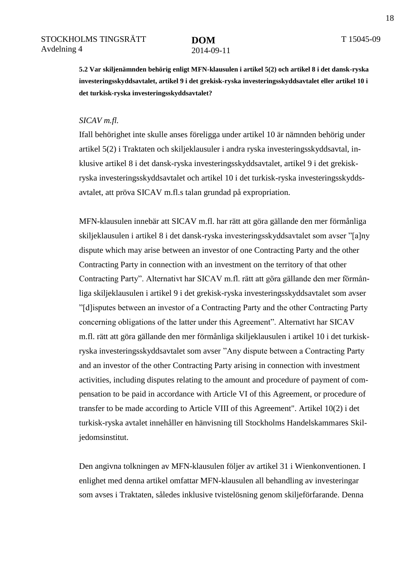**5.2 Var skiljenämnden behörig enligt MFN-klausulen i artikel 5(2) och artikel 8 i det dansk-ryska investeringsskyddsavtalet, artikel 9 i det grekisk-ryska investeringsskyddsavtalet eller artikel 10 i det turkisk-ryska investeringsskyddsavtalet?**

#### *SICAV m.fl.*

Ifall behörighet inte skulle anses föreligga under artikel 10 är nämnden behörig under artikel 5(2) i Traktaten och skiljeklausuler i andra ryska investeringsskyddsavtal, inklusive artikel 8 i det dansk-ryska investeringsskyddsavtalet, artikel 9 i det grekiskryska investeringsskyddsavtalet och artikel 10 i det turkisk-ryska investeringsskyddsavtalet, att pröva SICAV m.fl.s talan grundad på expropriation.

MFN-klausulen innebär att SICAV m.fl. har rätt att göra gällande den mer förmånliga skiljeklausulen i artikel 8 i det dansk-ryska investeringsskyddsavtalet som avser "[a]ny dispute which may arise between an investor of one Contracting Party and the other Contracting Party in connection with an investment on the territory of that other Contracting Party". Alternativt har SICAV m.fl. rätt att göra gällande den mer förmånliga skiljeklausulen i artikel 9 i det grekisk-ryska investeringsskyddsavtalet som avser "[d]isputes between an investor of a Contracting Party and the other Contracting Party concerning obligations of the latter under this Agreement". Alternativt har SICAV m.fl. rätt att göra gällande den mer förmånliga skiljeklausulen i artikel 10 i det turkiskryska investeringsskyddsavtalet som avser "Any dispute between a Contracting Party and an investor of the other Contracting Party arising in connection with investment activities, including disputes relating to the amount and procedure of payment of compensation to be paid in accordance with Article VI of this Agreement, or procedure of transfer to be made according to Article VIII of this Agreement". Artikel 10(2) i det turkisk-ryska avtalet innehåller en hänvisning till Stockholms Handelskammares Skiljedomsinstitut.

Den angivna tolkningen av MFN-klausulen följer av artikel 31 i Wienkonventionen. I enlighet med denna artikel omfattar MFN-klausulen all behandling av investeringar som avses i Traktaten, således inklusive tvistelösning genom skiljeförfarande. Denna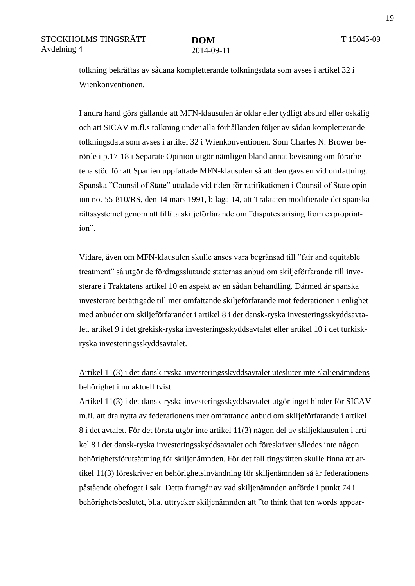tolkning bekräftas av sådana kompletterande tolkningsdata som avses i artikel 32 i Wienkonventionen.

I andra hand görs gällande att MFN-klausulen är oklar eller tydligt absurd eller oskälig och att SICAV m.fl.s tolkning under alla förhållanden följer av sådan kompletterande tolkningsdata som avses i artikel 32 i Wienkonventionen. Som Charles N. Brower berörde i p.17-18 i Separate Opinion utgör nämligen bland annat bevisning om förarbetena stöd för att Spanien uppfattade MFN-klausulen så att den gavs en vid omfattning. Spanska "Counsil of State" uttalade vid tiden för ratifikationen i Counsil of State opinion no. 55-810/RS, den 14 mars 1991, bilaga 14, att Traktaten modifierade det spanska rättssystemet genom att tillåta skiljeförfarande om "disputes arising from expropriation".

Vidare, även om MFN-klausulen skulle anses vara begränsad till "fair and equitable treatment" så utgör de fördragsslutande staternas anbud om skiljeförfarande till investerare i Traktatens artikel 10 en aspekt av en sådan behandling. Därmed är spanska investerare berättigade till mer omfattande skiljeförfarande mot federationen i enlighet med anbudet om skiljeförfarandet i artikel 8 i det dansk-ryska investeringsskyddsavtalet, artikel 9 i det grekisk-ryska investeringsskyddsavtalet eller artikel 10 i det turkiskryska investeringsskyddsavtalet.

### Artikel 11(3) i det dansk-ryska investeringsskyddsavtalet utesluter inte skiljenämndens behörighet i nu aktuell tvist

Artikel 11(3) i det dansk-ryska investeringsskyddsavtalet utgör inget hinder för SICAV m.fl. att dra nytta av federationens mer omfattande anbud om skiljeförfarande i artikel 8 i det avtalet. För det första utgör inte artikel 11(3) någon del av skiljeklausulen i artikel 8 i det dansk-ryska investeringsskyddsavtalet och föreskriver således inte någon behörighetsförutsättning för skiljenämnden. För det fall tingsrätten skulle finna att artikel 11(3) föreskriver en behörighetsinvändning för skiljenämnden så är federationens påstående obefogat i sak. Detta framgår av vad skiljenämnden anförde i punkt 74 i behörighetsbeslutet, bl.a. uttrycker skiljenämnden att "to think that ten words appear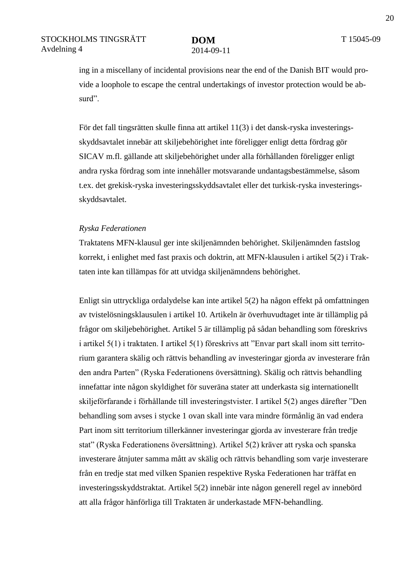ing in a miscellany of incidental provisions near the end of the Danish BIT would provide a loophole to escape the central undertakings of investor protection would be absurd".

För det fall tingsrätten skulle finna att artikel 11(3) i det dansk-ryska investeringsskyddsavtalet innebär att skiljebehörighet inte föreligger enligt detta fördrag gör SICAV m.fl. gällande att skiljebehörighet under alla förhållanden föreligger enligt andra ryska fördrag som inte innehåller motsvarande undantagsbestämmelse, såsom t.ex. det grekisk-ryska investeringsskyddsavtalet eller det turkisk-ryska investeringsskyddsavtalet.

#### *Ryska Federationen*

Traktatens MFN-klausul ger inte skiljenämnden behörighet. Skiljenämnden fastslog korrekt, i enlighet med fast praxis och doktrin, att MFN-klausulen i artikel 5(2) i Traktaten inte kan tillämpas för att utvidga skiljenämndens behörighet.

Enligt sin uttryckliga ordalydelse kan inte artikel 5(2) ha någon effekt på omfattningen av tvistelösningsklausulen i artikel 10. Artikeln är överhuvudtaget inte är tillämplig på frågor om skiljebehörighet. Artikel 5 är tillämplig på sådan behandling som föreskrivs i artikel 5(1) i traktaten. I artikel 5(1) föreskrivs att "Envar part skall inom sitt territorium garantera skälig och rättvis behandling av investeringar gjorda av investerare från den andra Parten" (Ryska Federationens översättning). Skälig och rättvis behandling innefattar inte någon skyldighet för suveräna stater att underkasta sig internationellt skiljeförfarande i förhållande till investeringstvister. I artikel 5(2) anges därefter "Den behandling som avses i stycke 1 ovan skall inte vara mindre förmånlig än vad endera Part inom sitt territorium tillerkänner investeringar gjorda av investerare från tredje stat" (Ryska Federationens översättning). Artikel 5(2) kräver att ryska och spanska investerare åtnjuter samma mått av skälig och rättvis behandling som varje investerare från en tredje stat med vilken Spanien respektive Ryska Federationen har träffat en investeringsskyddstraktat. Artikel 5(2) innebär inte någon generell regel av innebörd att alla frågor hänförliga till Traktaten är underkastade MFN-behandling.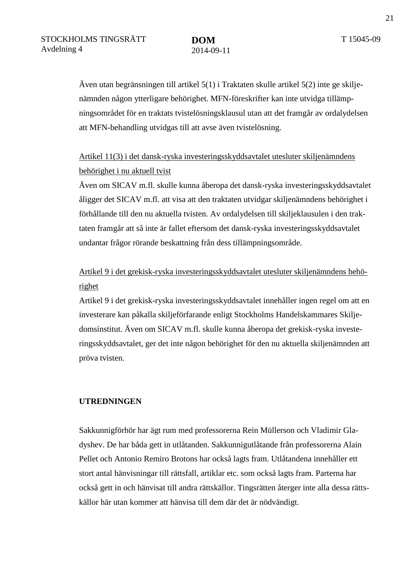Även utan begränsningen till artikel 5(1) i Traktaten skulle artikel 5(2) inte ge skiljenämnden någon ytterligare behörighet. MFN-föreskrifter kan inte utvidga tillämpningsområdet för en traktats tvistelösningsklausul utan att det framgår av ordalydelsen att MFN-behandling utvidgas till att avse även tvistelösning.

### Artikel 11(3) i det dansk-ryska investeringsskyddsavtalet utesluter skiljenämndens behörighet i nu aktuell tvist

Även om SICAV m.fl. skulle kunna åberopa det dansk-ryska investeringsskyddsavtalet åligger det SICAV m.fl. att visa att den traktaten utvidgar skiljenämndens behörighet i förhållande till den nu aktuella tvisten. Av ordalydelsen till skiljeklausulen i den traktaten framgår att så inte är fallet eftersom det dansk-ryska investeringsskyddsavtalet undantar frågor rörande beskattning från dess tillämpningsområde.

### Artikel 9 i det grekisk-ryska investeringsskyddsavtalet utesluter skiljenämndens behörighet

Artikel 9 i det grekisk-ryska investeringsskyddsavtalet innehåller ingen regel om att en investerare kan påkalla skiljeförfarande enligt Stockholms Handelskammares Skiljedomsinstitut. Även om SICAV m.fl. skulle kunna åberopa det grekisk-ryska investeringsskyddsavtalet, ger det inte någon behörighet för den nu aktuella skiljenämnden att pröva tvisten.

#### **UTREDNINGEN**

Sakkunnigförhör har ägt rum med professorerna Rein Müllerson och Vladimir Gladyshev. De har båda gett in utlåtanden. Sakkunnigutlåtande från professorerna Alain Pellet och Antonio Remiro Brotons har också lagts fram. Utlåtandena innehåller ett stort antal hänvisningar till rättsfall, artiklar etc. som också lagts fram. Parterna har också gett in och hänvisat till andra rättskällor. Tingsrätten återger inte alla dessa rättskällor här utan kommer att hänvisa till dem där det är nödvändigt.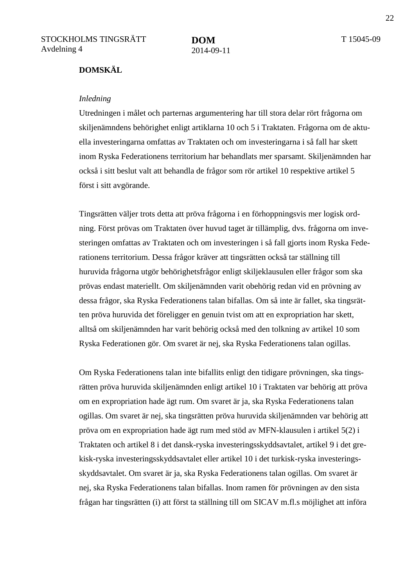#### **DOMSKÄL**

#### *Inledning*

Utredningen i målet och parternas argumentering har till stora delar rört frågorna om skiljenämndens behörighet enligt artiklarna 10 och 5 i Traktaten. Frågorna om de aktuella investeringarna omfattas av Traktaten och om investeringarna i så fall har skett inom Ryska Federationens territorium har behandlats mer sparsamt. Skiljenämnden har också i sitt beslut valt att behandla de frågor som rör artikel 10 respektive artikel 5 först i sitt avgörande.

Tingsrätten väljer trots detta att pröva frågorna i en förhoppningsvis mer logisk ordning. Först prövas om Traktaten över huvud taget är tillämplig, dvs. frågorna om investeringen omfattas av Traktaten och om investeringen i så fall gjorts inom Ryska Federationens territorium. Dessa frågor kräver att tingsrätten också tar ställning till huruvida frågorna utgör behörighetsfrågor enligt skiljeklausulen eller frågor som ska prövas endast materiellt. Om skiljenämnden varit obehörig redan vid en prövning av dessa frågor, ska Ryska Federationens talan bifallas. Om så inte är fallet, ska tingsrätten pröva huruvida det föreligger en genuin tvist om att en expropriation har skett, alltså om skiljenämnden har varit behörig också med den tolkning av artikel 10 som Ryska Federationen gör. Om svaret är nej, ska Ryska Federationens talan ogillas.

Om Ryska Federationens talan inte bifallits enligt den tidigare prövningen, ska tingsrätten pröva huruvida skiljenämnden enligt artikel 10 i Traktaten var behörig att pröva om en expropriation hade ägt rum. Om svaret är ja, ska Ryska Federationens talan ogillas. Om svaret är nej, ska tingsrätten pröva huruvida skiljenämnden var behörig att pröva om en expropriation hade ägt rum med stöd av MFN-klausulen i artikel 5(2) i Traktaten och artikel 8 i det dansk-ryska investeringsskyddsavtalet, artikel 9 i det grekisk-ryska investeringsskyddsavtalet eller artikel 10 i det turkisk-ryska investeringsskyddsavtalet. Om svaret är ja, ska Ryska Federationens talan ogillas. Om svaret är nej, ska Ryska Federationens talan bifallas. Inom ramen för prövningen av den sista frågan har tingsrätten (i) att först ta ställning till om SICAV m.fl.s möjlighet att införa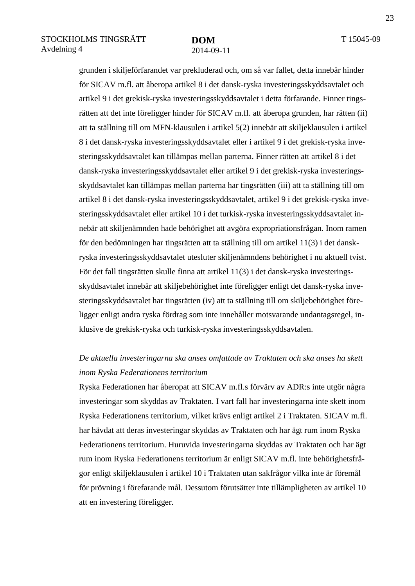grunden i skiljeförfarandet var prekluderad och, om så var fallet, detta innebär hinder för SICAV m.fl. att åberopa artikel 8 i det dansk-ryska investeringsskyddsavtalet och artikel 9 i det grekisk-ryska investeringsskyddsavtalet i detta förfarande. Finner tingsrätten att det inte föreligger hinder för SICAV m.fl. att åberopa grunden, har rätten (ii) att ta ställning till om MFN-klausulen i artikel 5(2) innebär att skiljeklausulen i artikel 8 i det dansk-ryska investeringsskyddsavtalet eller i artikel 9 i det grekisk-ryska investeringsskyddsavtalet kan tillämpas mellan parterna. Finner rätten att artikel 8 i det dansk-ryska investeringsskyddsavtalet eller artikel 9 i det grekisk-ryska investeringsskyddsavtalet kan tillämpas mellan parterna har tingsrätten (iii) att ta ställning till om artikel 8 i det dansk-ryska investeringsskyddsavtalet, artikel 9 i det grekisk-ryska investeringsskyddsavtalet eller artikel 10 i det turkisk-ryska investeringsskyddsavtalet innebär att skiljenämnden hade behörighet att avgöra expropriationsfrågan. Inom ramen för den bedömningen har tingsrätten att ta ställning till om artikel 11(3) i det danskryska investeringsskyddsavtalet utesluter skiljenämndens behörighet i nu aktuell tvist. För det fall tingsrätten skulle finna att artikel 11(3) i det dansk-ryska investeringsskyddsavtalet innebär att skiljebehörighet inte föreligger enligt det dansk-ryska investeringsskyddsavtalet har tingsrätten (iv) att ta ställning till om skiljebehörighet föreligger enligt andra ryska fördrag som inte innehåller motsvarande undantagsregel, inklusive de grekisk-ryska och turkisk-ryska investeringsskyddsavtalen.

### *De aktuella investeringarna ska anses omfattade av Traktaten och ska anses ha skett inom Ryska Federationens territorium*

Ryska Federationen har åberopat att SICAV m.fl.s förvärv av ADR:s inte utgör några investeringar som skyddas av Traktaten. I vart fall har investeringarna inte skett inom Ryska Federationens territorium, vilket krävs enligt artikel 2 i Traktaten. SICAV m.fl. har hävdat att deras investeringar skyddas av Traktaten och har ägt rum inom Ryska Federationens territorium. Huruvida investeringarna skyddas av Traktaten och har ägt rum inom Ryska Federationens territorium är enligt SICAV m.fl. inte behörighetsfrågor enligt skiljeklausulen i artikel 10 i Traktaten utan sakfrågor vilka inte är föremål för prövning i förefarande mål. Dessutom förutsätter inte tillämpligheten av artikel 10 att en investering föreligger.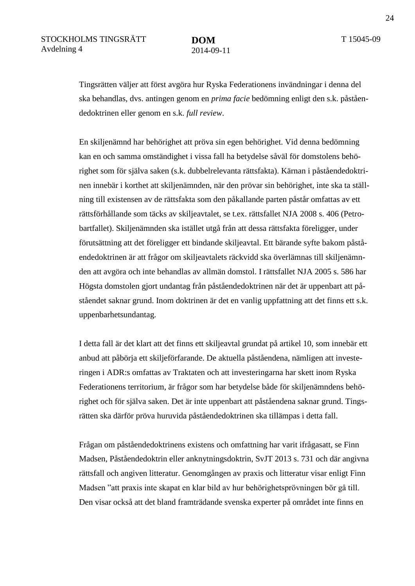Tingsrätten väljer att först avgöra hur Ryska Federationens invändningar i denna del ska behandlas, dvs. antingen genom en *prima facie* bedömning enligt den s.k. påståendedoktrinen eller genom en s.k. *full review*.

En skiljenämnd har behörighet att pröva sin egen behörighet. Vid denna bedömning kan en och samma omständighet i vissa fall ha betydelse såväl för domstolens behörighet som för själva saken (s.k. dubbelrelevanta rättsfakta). Kärnan i påståendedoktrinen innebär i korthet att skiljenämnden, när den prövar sin behörighet, inte ska ta ställning till existensen av de rättsfakta som den påkallande parten påstår omfattas av ett rättsförhållande som täcks av skiljeavtalet, se t.ex. rättsfallet NJA 2008 s. 406 (Petrobartfallet). Skiljenämnden ska istället utgå från att dessa rättsfakta föreligger, under förutsättning att det föreligger ett bindande skiljeavtal. Ett bärande syfte bakom påståendedoktrinen är att frågor om skiljeavtalets räckvidd ska överlämnas till skiljenämnden att avgöra och inte behandlas av allmän domstol. I rättsfallet NJA 2005 s. 586 har Högsta domstolen gjort undantag från påståendedoktrinen när det är uppenbart att påståendet saknar grund. Inom doktrinen är det en vanlig uppfattning att det finns ett s.k. uppenbarhetsundantag.

I detta fall är det klart att det finns ett skiljeavtal grundat på artikel 10, som innebär ett anbud att påbörja ett skiljeförfarande. De aktuella påståendena, nämligen att investeringen i ADR:s omfattas av Traktaten och att investeringarna har skett inom Ryska Federationens territorium, är frågor som har betydelse både för skiljenämndens behörighet och för själva saken. Det är inte uppenbart att påståendena saknar grund. Tingsrätten ska därför pröva huruvida påståendedoktrinen ska tillämpas i detta fall.

Frågan om påståendedoktrinens existens och omfattning har varit ifrågasatt, se Finn Madsen, Påståendedoktrin eller anknytningsdoktrin, SvJT 2013 s. 731 och där angivna rättsfall och angiven litteratur. Genomgången av praxis och litteratur visar enligt Finn Madsen "att praxis inte skapat en klar bild av hur behörighetsprövningen bör gå till. Den visar också att det bland framträdande svenska experter på området inte finns en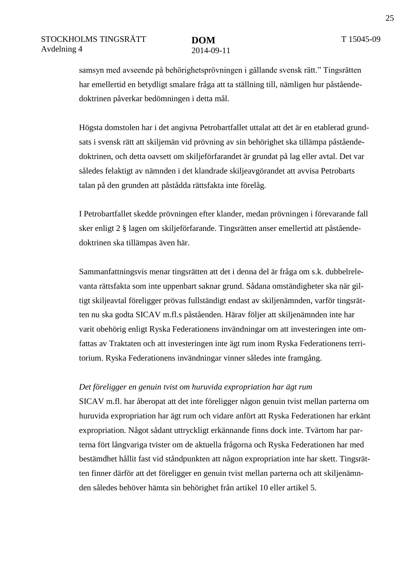samsyn med avseende på behörighetsprövningen i gällande svensk rätt." Tingsrätten har emellertid en betydligt smalare fråga att ta ställning till, nämligen hur påståendedoktrinen påverkar bedömningen i detta mål.

Högsta domstolen har i det angivna Petrobartfallet uttalat att det är en etablerad grundsats i svensk rätt att skiljemän vid prövning av sin behörighet ska tillämpa påståendedoktrinen, och detta oavsett om skiljeförfarandet är grundat på lag eller avtal. Det var således felaktigt av nämnden i det klandrade skiljeavgörandet att avvisa Petrobarts talan på den grunden att påstådda rättsfakta inte förelåg.

I Petrobartfallet skedde prövningen efter klander, medan prövningen i förevarande fall sker enligt 2 § lagen om skiljeförfarande. Tingsrätten anser emellertid att påståendedoktrinen ska tillämpas även här.

Sammanfattningsvis menar tingsrätten att det i denna del är fråga om s.k. dubbelrelevanta rättsfakta som inte uppenbart saknar grund. Sådana omständigheter ska när giltigt skiljeavtal föreligger prövas fullständigt endast av skiljenämnden, varför tingsrätten nu ska godta SICAV m.fl.s påståenden. Härav följer att skiljenämnden inte har varit obehörig enligt Ryska Federationens invändningar om att investeringen inte omfattas av Traktaten och att investeringen inte ägt rum inom Ryska Federationens territorium. Ryska Federationens invändningar vinner således inte framgång.

#### *Det föreligger en genuin tvist om huruvida expropriation har ägt rum*

SICAV m.fl. har åberopat att det inte föreligger någon genuin tvist mellan parterna om huruvida expropriation har ägt rum och vidare anfört att Ryska Federationen har erkänt expropriation. Något sådant uttryckligt erkännande finns dock inte. Tvärtom har parterna fört långvariga tvister om de aktuella frågorna och Ryska Federationen har med bestämdhet hållit fast vid ståndpunkten att någon expropriation inte har skett. Tingsrätten finner därför att det föreligger en genuin tvist mellan parterna och att skiljenämnden således behöver hämta sin behörighet från artikel 10 eller artikel 5.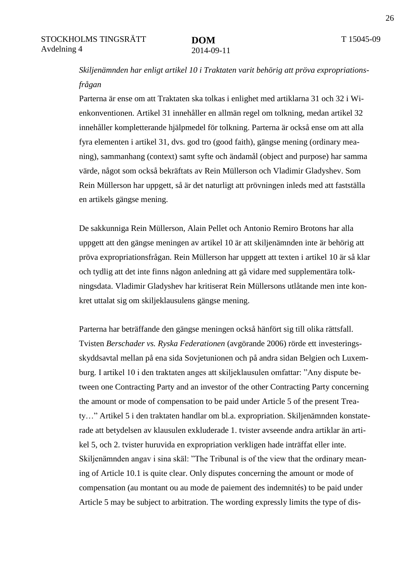### *Skiljenämnden har enligt artikel 10 i Traktaten varit behörig att pröva expropriationsfrågan*

Parterna är ense om att Traktaten ska tolkas i enlighet med artiklarna 31 och 32 i Wienkonventionen. Artikel 31 innehåller en allmän regel om tolkning, medan artikel 32 innehåller kompletterande hjälpmedel för tolkning. Parterna är också ense om att alla fyra elementen i artikel 31, dvs. god tro (good faith), gängse mening (ordinary meaning), sammanhang (context) samt syfte och ändamål (object and purpose) har samma värde, något som också bekräftats av Rein Müllerson och Vladimir Gladyshev. Som Rein Müllerson har uppgett, så är det naturligt att prövningen inleds med att fastställa en artikels gängse mening.

De sakkunniga Rein Müllerson, Alain Pellet och Antonio Remiro Brotons har alla uppgett att den gängse meningen av artikel 10 är att skiljenämnden inte är behörig att pröva expropriationsfrågan. Rein Müllerson har uppgett att texten i artikel 10 är så klar och tydlig att det inte finns någon anledning att gå vidare med supplementära tolkningsdata. Vladimir Gladyshev har kritiserat Rein Müllersons utlåtande men inte konkret uttalat sig om skiljeklausulens gängse mening.

Parterna har beträffande den gängse meningen också hänfört sig till olika rättsfall. Tvisten *Berschader vs. Ryska Federationen* (avgörande 2006) rörde ett investeringsskyddsavtal mellan på ena sida Sovjetunionen och på andra sidan Belgien och Luxemburg. I artikel 10 i den traktaten anges att skiljeklausulen omfattar: "Any dispute between one Contracting Party and an investor of the other Contracting Party concerning the amount or mode of compensation to be paid under Article 5 of the present Treaty…" Artikel 5 i den traktaten handlar om bl.a. expropriation. Skiljenämnden konstaterade att betydelsen av klausulen exkluderade 1. tvister avseende andra artiklar än artikel 5, och 2. tvister huruvida en expropriation verkligen hade inträffat eller inte. Skiljenämnden angav i sina skäl: "The Tribunal is of the view that the ordinary meaning of Article 10.1 is quite clear. Only disputes concerning the amount or mode of compensation (au montant ou au mode de paiement des indemnités) to be paid under Article 5 may be subject to arbitration. The wording expressly limits the type of dis-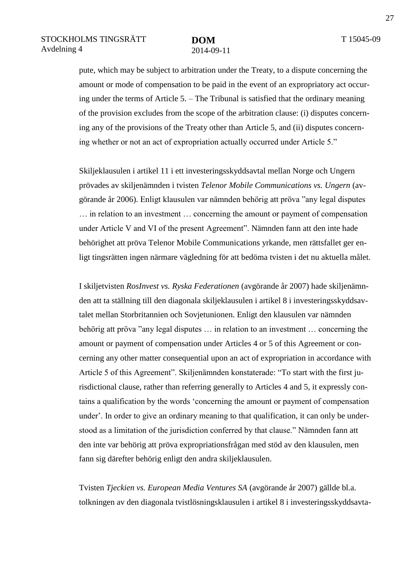pute, which may be subject to arbitration under the Treaty, to a dispute concerning the amount or mode of compensation to be paid in the event of an expropriatory act occuring under the terms of Article 5. – The Tribunal is satisfied that the ordinary meaning of the provision excludes from the scope of the arbitration clause: (i) disputes concerning any of the provisions of the Treaty other than Article 5, and (ii) disputes concerning whether or not an act of expropriation actually occurred under Article 5."

Skiljeklausulen i artikel 11 i ett investeringsskyddsavtal mellan Norge och Ungern prövades av skiljenämnden i tvisten *Telenor Mobile Communications vs. Ungern* (avgörande år 2006). Enligt klausulen var nämnden behörig att pröva "any legal disputes … in relation to an investment … concerning the amount or payment of compensation under Article V and VI of the present Agreement". Nämnden fann att den inte hade behörighet att pröva Telenor Mobile Communications yrkande, men rättsfallet ger enligt tingsrätten ingen närmare vägledning för att bedöma tvisten i det nu aktuella målet.

I skiljetvisten *RosInvest vs. Ryska Federationen* (avgörande år 2007) hade skiljenämnden att ta ställning till den diagonala skiljeklausulen i artikel 8 i investeringsskyddsavtalet mellan Storbritannien och Sovjetunionen. Enligt den klausulen var nämnden behörig att pröva "any legal disputes … in relation to an investment … concerning the amount or payment of compensation under Articles 4 or 5 of this Agreement or concerning any other matter consequential upon an act of expropriation in accordance with Article 5 of this Agreement". Skiljenämnden konstaterade: "To start with the first jurisdictional clause, rather than referring generally to Articles 4 and 5, it expressly contains a qualification by the words 'concerning the amount or payment of compensation under'. In order to give an ordinary meaning to that qualification, it can only be understood as a limitation of the jurisdiction conferred by that clause." Nämnden fann att den inte var behörig att pröva expropriationsfrågan med stöd av den klausulen, men fann sig därefter behörig enligt den andra skiljeklausulen.

Tvisten *Tjeckien vs. European Media Ventures SA* (avgörande år 2007) gällde bl.a. tolkningen av den diagonala tvistlösningsklausulen i artikel 8 i investeringsskyddsavta-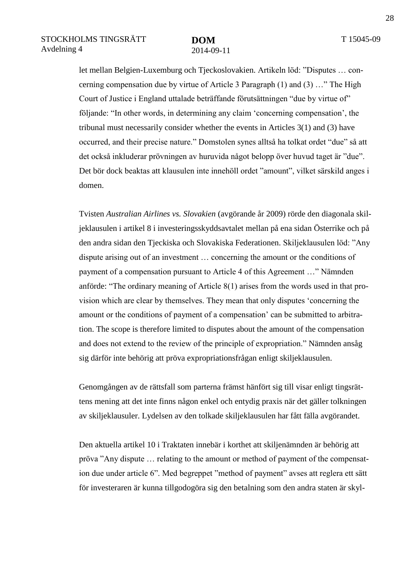let mellan Belgien-Luxemburg och Tjeckoslovakien. Artikeln löd: "Disputes … concerning compensation due by virtue of Article 3 Paragraph (1) and (3) …" The High Court of Justice i England uttalade beträffande förutsättningen "due by virtue of" följande: "In other words, in determining any claim 'concerning compensation', the tribunal must necessarily consider whether the events in Articles 3(1) and (3) have occurred, and their precise nature." Domstolen synes alltså ha tolkat ordet "due" så att det också inkluderar prövningen av huruvida något belopp över huvud taget är "due". Det bör dock beaktas att klausulen inte innehöll ordet "amount", vilket särskild anges i domen.

Tvisten *Australian Airlines vs. Slovakien* (avgörande år 2009) rörde den diagonala skiljeklausulen i artikel 8 i investeringsskyddsavtalet mellan på ena sidan Österrike och på den andra sidan den Tjeckiska och Slovakiska Federationen. Skiljeklausulen löd: "Any dispute arising out of an investment … concerning the amount or the conditions of payment of a compensation pursuant to Article 4 of this Agreement …" Nämnden anförde: "The ordinary meaning of Article 8(1) arises from the words used in that provision which are clear by themselves. They mean that only disputes 'concerning the amount or the conditions of payment of a compensation' can be submitted to arbitration. The scope is therefore limited to disputes about the amount of the compensation and does not extend to the review of the principle of expropriation." Nämnden ansåg sig därför inte behörig att pröva expropriationsfrågan enligt skiljeklausulen.

Genomgången av de rättsfall som parterna främst hänfört sig till visar enligt tingsrättens mening att det inte finns någon enkel och entydig praxis när det gäller tolkningen av skiljeklausuler. Lydelsen av den tolkade skiljeklausulen har fått fälla avgörandet.

Den aktuella artikel 10 i Traktaten innebär i korthet att skiljenämnden är behörig att pröva "Any dispute … relating to the amount or method of payment of the compensation due under article 6". Med begreppet "method of payment" avses att reglera ett sätt för investeraren är kunna tillgodogöra sig den betalning som den andra staten är skyl-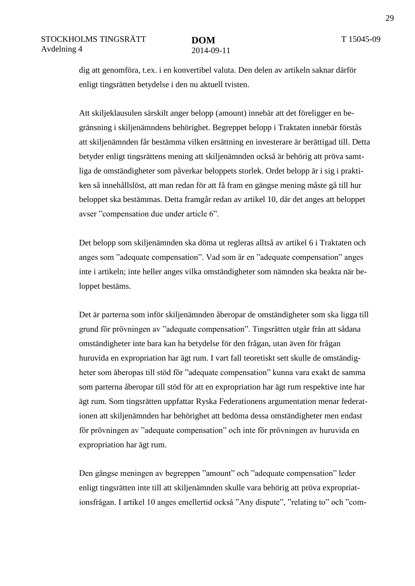dig att genomföra, t.ex. i en konvertibel valuta. Den delen av artikeln saknar därför enligt tingsrätten betydelse i den nu aktuell tvisten.

Att skiljeklausulen särskilt anger belopp (amount) innebär att det föreligger en begränsning i skiljenämndens behörighet. Begreppet belopp i Traktaten innebär förstås att skiljenämnden får bestämma vilken ersättning en investerare är berättigad till. Detta betyder enligt tingsrättens mening att skiljenämnden också är behörig att pröva samtliga de omständigheter som påverkar beloppets storlek. Ordet belopp är i sig i praktiken så innehållslöst, att man redan för att få fram en gängse mening måste gå till hur beloppet ska bestämmas. Detta framgår redan av artikel 10, där det anges att beloppet avser "compensation due under article 6".

Det belopp som skiljenämnden ska döma ut regleras alltså av artikel 6 i Traktaten och anges som "adequate compensation". Vad som är en "adequate compensation" anges inte i artikeln; inte heller anges vilka omständigheter som nämnden ska beakta när beloppet bestäms.

Det är parterna som inför skiljenämnden åberopar de omständigheter som ska ligga till grund för prövningen av "adequate compensation". Tingsrätten utgår från att sådana omständigheter inte bara kan ha betydelse för den frågan, utan även för frågan huruvida en expropriation har ägt rum. I vart fall teoretiskt sett skulle de omständigheter som åberopas till stöd för "adequate compensation" kunna vara exakt de samma som parterna åberopar till stöd för att en expropriation har ägt rum respektive inte har ägt rum. Som tingsrätten uppfattar Ryska Federationens argumentation menar federationen att skiljenämnden har behörighet att bedöma dessa omständigheter men endast för prövningen av "adequate compensation" och inte för prövningen av huruvida en expropriation har ägt rum.

Den gängse meningen av begreppen "amount" och "adequate compensation" leder enligt tingsrätten inte till att skiljenämnden skulle vara behörig att pröva expropriationsfrågan. I artikel 10 anges emellertid också "Any dispute", "relating to" och "com-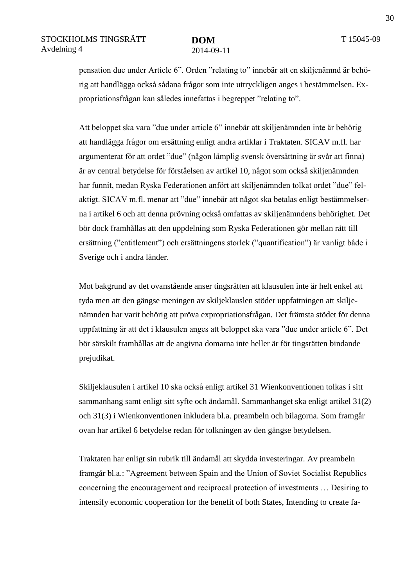pensation due under Article 6". Orden "relating to" innebär att en skiljenämnd är behörig att handlägga också sådana frågor som inte uttryckligen anges i bestämmelsen. Expropriationsfrågan kan således innefattas i begreppet "relating to".

Att beloppet ska vara "due under article 6" innebär att skiljenämnden inte är behörig att handlägga frågor om ersättning enligt andra artiklar i Traktaten. SICAV m.fl. har argumenterat för att ordet "due" (någon lämplig svensk översättning är svår att finna) är av central betydelse för förståelsen av artikel 10, något som också skiljenämnden har funnit, medan Ryska Federationen anfört att skiljenämnden tolkat ordet "due" felaktigt. SICAV m.fl. menar att "due" innebär att något ska betalas enligt bestämmelserna i artikel 6 och att denna prövning också omfattas av skiljenämndens behörighet. Det bör dock framhållas att den uppdelning som Ryska Federationen gör mellan rätt till ersättning ("entitlement") och ersättningens storlek ("quantification") är vanligt både i Sverige och i andra länder.

Mot bakgrund av det ovanstående anser tingsrätten att klausulen inte är helt enkel att tyda men att den gängse meningen av skiljeklauslen stöder uppfattningen att skiljenämnden har varit behörig att pröva expropriationsfrågan. Det främsta stödet för denna uppfattning är att det i klausulen anges att beloppet ska vara "due under article 6". Det bör särskilt framhållas att de angivna domarna inte heller är för tingsrätten bindande prejudikat.

Skiljeklausulen i artikel 10 ska också enligt artikel 31 Wienkonventionen tolkas i sitt sammanhang samt enligt sitt syfte och ändamål. Sammanhanget ska enligt artikel 31(2) och 31(3) i Wienkonventionen inkludera bl.a. preambeln och bilagorna. Som framgår ovan har artikel 6 betydelse redan för tolkningen av den gängse betydelsen.

Traktaten har enligt sin rubrik till ändamål att skydda investeringar. Av preambeln framgår bl.a.: "Agreement between Spain and the Union of Soviet Socialist Republics concerning the encouragement and reciprocal protection of investments … Desiring to intensify economic cooperation for the benefit of both States, Intending to create fa-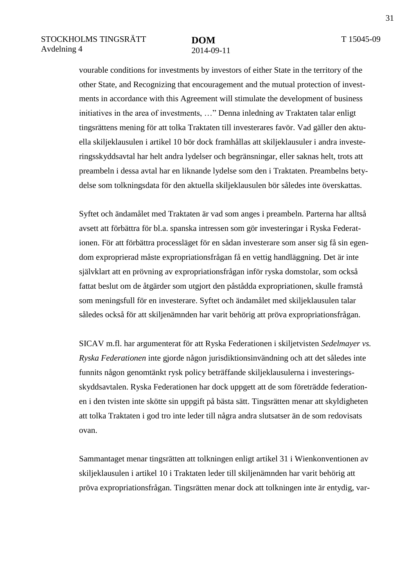vourable conditions for investments by investors of either State in the territory of the other State, and Recognizing that encouragement and the mutual protection of investments in accordance with this Agreement will stimulate the development of business initiatives in the area of investments, …" Denna inledning av Traktaten talar enligt tingsrättens mening för att tolka Traktaten till investerares favör. Vad gäller den aktuella skiljeklausulen i artikel 10 bör dock framhållas att skiljeklausuler i andra investeringsskyddsavtal har helt andra lydelser och begränsningar, eller saknas helt, trots att preambeln i dessa avtal har en liknande lydelse som den i Traktaten. Preambelns betydelse som tolkningsdata för den aktuella skiljeklausulen bör således inte överskattas.

Syftet och ändamålet med Traktaten är vad som anges i preambeln. Parterna har alltså avsett att förbättra för bl.a. spanska intressen som gör investeringar i Ryska Federationen. För att förbättra processläget för en sådan investerare som anser sig få sin egendom exproprierad måste expropriationsfrågan få en vettig handläggning. Det är inte självklart att en prövning av expropriationsfrågan inför ryska domstolar, som också fattat beslut om de åtgärder som utgjort den påstådda expropriationen, skulle framstå som meningsfull för en investerare. Syftet och ändamålet med skiljeklausulen talar således också för att skiljenämnden har varit behörig att pröva expropriationsfrågan.

SICAV m.fl. har argumenterat för att Ryska Federationen i skiljetvisten *Sedelmayer vs. Ryska Federationen* inte gjorde någon jurisdiktionsinvändning och att det således inte funnits någon genomtänkt rysk policy beträffande skiljeklausulerna i investeringsskyddsavtalen. Ryska Federationen har dock uppgett att de som företrädde federationen i den tvisten inte skötte sin uppgift på bästa sätt. Tingsrätten menar att skyldigheten att tolka Traktaten i god tro inte leder till några andra slutsatser än de som redovisats ovan.

Sammantaget menar tingsrätten att tolkningen enligt artikel 31 i Wienkonventionen av skiljeklausulen i artikel 10 i Traktaten leder till skiljenämnden har varit behörig att pröva expropriationsfrågan. Tingsrätten menar dock att tolkningen inte är entydig, var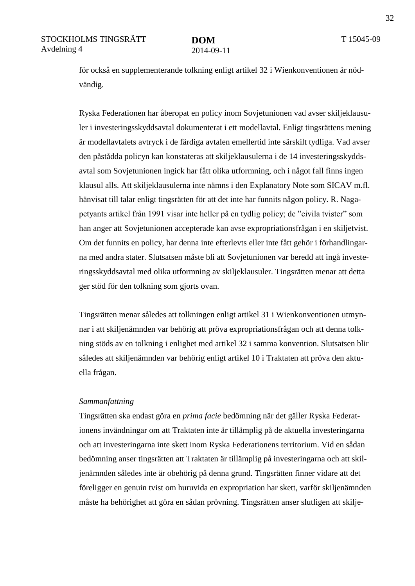för också en supplementerande tolkning enligt artikel 32 i Wienkonventionen är nödvändig.

Ryska Federationen har åberopat en policy inom Sovjetunionen vad avser skiljeklausuler i investeringsskyddsavtal dokumenterat i ett modellavtal. Enligt tingsrättens mening är modellavtalets avtryck i de färdiga avtalen emellertid inte särskilt tydliga. Vad avser den påstådda policyn kan konstateras att skiljeklausulerna i de 14 investeringsskyddsavtal som Sovjetunionen ingick har fått olika utformning, och i något fall finns ingen klausul alls. Att skiljeklausulerna inte nämns i den Explanatory Note som SICAV m.fl. hänvisat till talar enligt tingsrätten för att det inte har funnits någon policy. R. Nagapetyants artikel från 1991 visar inte heller på en tydlig policy; de "civila tvister" som han anger att Sovjetunionen accepterade kan avse expropriationsfrågan i en skiljetvist. Om det funnits en policy, har denna inte efterlevts eller inte fått gehör i förhandlingarna med andra stater. Slutsatsen måste bli att Sovjetunionen var beredd att ingå investeringsskyddsavtal med olika utformning av skiljeklausuler. Tingsrätten menar att detta ger stöd för den tolkning som gjorts ovan.

Tingsrätten menar således att tolkningen enligt artikel 31 i Wienkonventionen utmynnar i att skiljenämnden var behörig att pröva expropriationsfrågan och att denna tolkning stöds av en tolkning i enlighet med artikel 32 i samma konvention. Slutsatsen blir således att skiljenämnden var behörig enligt artikel 10 i Traktaten att pröva den aktuella frågan.

#### *Sammanfattning*

Tingsrätten ska endast göra en *prima facie* bedömning när det gäller Ryska Federationens invändningar om att Traktaten inte är tillämplig på de aktuella investeringarna och att investeringarna inte skett inom Ryska Federationens territorium. Vid en sådan bedömning anser tingsrätten att Traktaten är tillämplig på investeringarna och att skiljenämnden således inte är obehörig på denna grund. Tingsrätten finner vidare att det föreligger en genuin tvist om huruvida en expropriation har skett, varför skiljenämnden måste ha behörighet att göra en sådan prövning. Tingsrätten anser slutligen att skilje-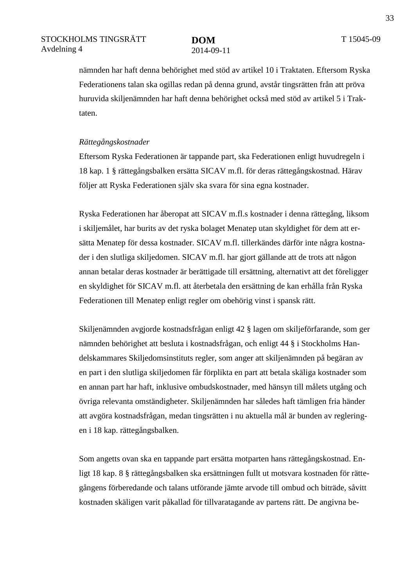nämnden har haft denna behörighet med stöd av artikel 10 i Traktaten. Eftersom Ryska Federationens talan ska ogillas redan på denna grund, avstår tingsrätten från att pröva huruvida skiljenämnden har haft denna behörighet också med stöd av artikel 5 i Traktaten.

#### *Rättegångskostnader*

Eftersom Ryska Federationen är tappande part, ska Federationen enligt huvudregeln i 18 kap. 1 § rättegångsbalken ersätta SICAV m.fl. för deras rättegångskostnad. Härav följer att Ryska Federationen själv ska svara för sina egna kostnader.

Ryska Federationen har åberopat att SICAV m.fl.s kostnader i denna rättegång, liksom i skiljemålet, har burits av det ryska bolaget Menatep utan skyldighet för dem att ersätta Menatep för dessa kostnader. SICAV m.fl. tillerkändes därför inte några kostnader i den slutliga skiljedomen. SICAV m.fl. har gjort gällande att de trots att någon annan betalar deras kostnader är berättigade till ersättning, alternativt att det föreligger en skyldighet för SICAV m.fl. att återbetala den ersättning de kan erhålla från Ryska Federationen till Menatep enligt regler om obehörig vinst i spansk rätt.

Skiljenämnden avgjorde kostnadsfrågan enligt 42 § lagen om skiljeförfarande, som ger nämnden behörighet att besluta i kostnadsfrågan, och enligt 44 § i Stockholms Handelskammares Skiljedomsinstituts regler, som anger att skiljenämnden på begäran av en part i den slutliga skiljedomen får förplikta en part att betala skäliga kostnader som en annan part har haft, inklusive ombudskostnader, med hänsyn till målets utgång och övriga relevanta omständigheter. Skiljenämnden har således haft tämligen fria händer att avgöra kostnadsfrågan, medan tingsrätten i nu aktuella mål är bunden av regleringen i 18 kap. rättegångsbalken.

Som angetts ovan ska en tappande part ersätta motparten hans rättegångskostnad. Enligt 18 kap. 8 § rättegångsbalken ska ersättningen fullt ut motsvara kostnaden för rättegångens förberedande och talans utförande jämte arvode till ombud och biträde, såvitt kostnaden skäligen varit påkallad för tillvaratagande av partens rätt. De angivna be-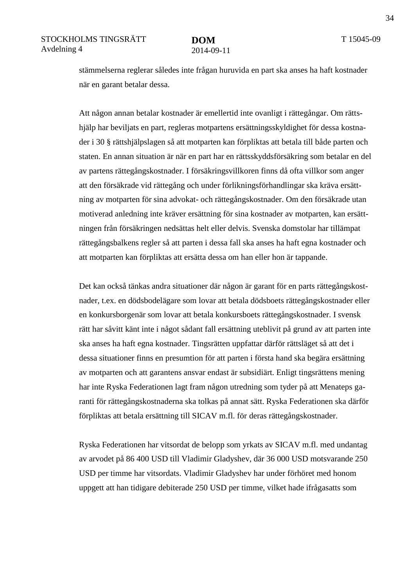stämmelserna reglerar således inte frågan huruvida en part ska anses ha haft kostnader när en garant betalar dessa.

Att någon annan betalar kostnader är emellertid inte ovanligt i rättegångar. Om rättshjälp har beviljats en part, regleras motpartens ersättningsskyldighet för dessa kostnader i 30 § rättshjälpslagen så att motparten kan förpliktas att betala till både parten och staten. En annan situation är när en part har en rättsskyddsförsäkring som betalar en del av partens rättegångskostnader. I försäkringsvillkoren finns då ofta villkor som anger att den försäkrade vid rättegång och under förlikningsförhandlingar ska kräva ersättning av motparten för sina advokat- och rättegångskostnader. Om den försäkrade utan motiverad anledning inte kräver ersättning för sina kostnader av motparten, kan ersättningen från försäkringen nedsättas helt eller delvis. Svenska domstolar har tillämpat rättegångsbalkens regler så att parten i dessa fall ska anses ha haft egna kostnader och att motparten kan förpliktas att ersätta dessa om han eller hon är tappande.

Det kan också tänkas andra situationer där någon är garant för en parts rättegångskostnader, t.ex. en dödsbodelägare som lovar att betala dödsboets rättegångskostnader eller en konkursborgenär som lovar att betala konkursboets rättegångskostnader. I svensk rätt har såvitt känt inte i något sådant fall ersättning uteblivit på grund av att parten inte ska anses ha haft egna kostnader. Tingsrätten uppfattar därför rättsläget så att det i dessa situationer finns en presumtion för att parten i första hand ska begära ersättning av motparten och att garantens ansvar endast är subsidiärt. Enligt tingsrättens mening har inte Ryska Federationen lagt fram någon utredning som tyder på att Menateps garanti för rättegångskostnaderna ska tolkas på annat sätt. Ryska Federationen ska därför förpliktas att betala ersättning till SICAV m.fl. för deras rättegångskostnader.

Ryska Federationen har vitsordat de belopp som yrkats av SICAV m.fl. med undantag av arvodet på 86 400 USD till Vladimir Gladyshev, där 36 000 USD motsvarande 250 USD per timme har vitsordats. Vladimir Gladyshev har under förhöret med honom uppgett att han tidigare debiterade 250 USD per timme, vilket hade ifrågasatts som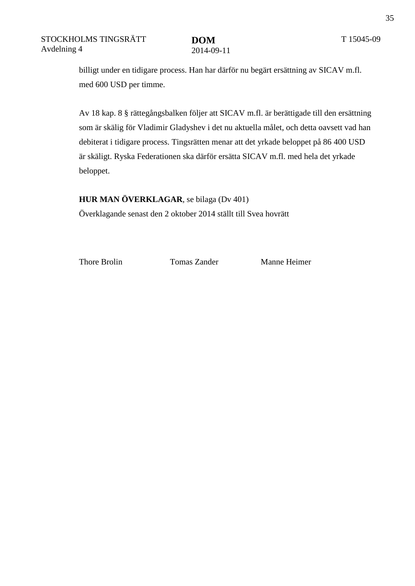billigt under en tidigare process. Han har därför nu begärt ersättning av SICAV m.fl. med 600 USD per timme.

Av 18 kap. 8 § rättegångsbalken följer att SICAV m.fl. är berättigade till den ersättning som är skälig för Vladimir Gladyshev i det nu aktuella målet, och detta oavsett vad han debiterat i tidigare process. Tingsrätten menar att det yrkade beloppet på 86 400 USD är skäligt. Ryska Federationen ska därför ersätta SICAV m.fl. med hela det yrkade beloppet.

**HUR MAN ÖVERKLAGAR**, se bilaga (Dv 401) Överklagande senast den 2 oktober 2014 ställt till Svea hovrätt

Thore Brolin Tomas Zander Manne Heimer